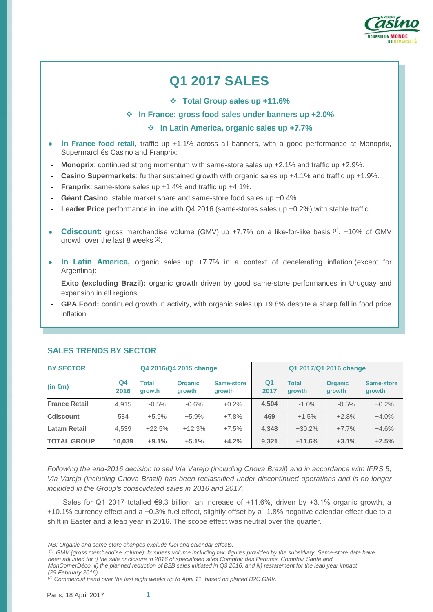

# **Q1 2017 SALES**

**Total Group sales up +11.6%**

#### **In France: gross food sales under banners up +2.0%**

#### **In Latin America, organic sales up +7.7%**

- **In France food retail**, traffic up +1.1% across all banners, with a good performance at Monoprix, Supermarchés Casino and Franprix:
- **Monoprix:** continued strong momentum with same-store sales up +2.1% and traffic up +2.9%.
- **Casino Supermarkets**: further sustained growth with organic sales up +4.1% and traffic up +1.9%.
- **Franprix**: same-store sales up +1.4% and traffic up +4.1%.
- Géant Casino: stable market share and same-store food sales up +0.4%.
- Leader Price performance in line with Q4 2016 (same-stores sales up +0.2%) with stable traffic.
- **Cdiscount:** gross merchandise volume (GMV) up +7.7% on a like-for-like basis <sup>(1)</sup>. +10% of GMV growth over the last 8 weeks<sup>(2)</sup>.
- **In Latin America,** organic sales up +7.7% in a context of decelerating inflation (except for Argentina):
- **Exito (excluding Brazil):** organic growth driven by good same-store performances in Uruguay and expansion in all regions
- GPA Food: continued growth in activity, with organic sales up +9.8% despite a sharp fall in food price inflation

| <b>BY SECTOR</b><br>Q4 2016/Q4 2015 change |            |                        |                          | Q1 2017/Q1 2016 change |                        |                        |                          |                      |
|--------------------------------------------|------------|------------------------|--------------------------|------------------------|------------------------|------------------------|--------------------------|----------------------|
| (in $\epsilon$ m)                          | Q4<br>2016 | <b>Total</b><br>growth | <b>Organic</b><br>growth | Same-store<br>growth   | Q <sub>1</sub><br>2017 | <b>Total</b><br>growth | <b>Organic</b><br>growth | Same-store<br>growth |
| <b>France Retail</b>                       | 4.915      | $-0.5%$                | $-0.6%$                  | $+0.2\%$               | 4.504                  | $-1.0\%$               | $-0.5\%$                 | $+0.2%$              |
| <b>Cdiscount</b>                           | 584        | $+5.9%$                | $+5.9%$                  | $+7.8%$                | 469                    | $+1.5%$                | $+2.8%$                  | $+4.0%$              |
| <b>Latam Retail</b>                        | 4.539      | $+22.5%$               | $+12.3%$                 | $+7.5%$                | 4.348                  | $+30.2%$               | $+7.7%$                  | $+4.6%$              |
| <b>TOTAL GROUP</b>                         | 10.039     | $+9.1%$                | $+5.1%$                  | $+4.2%$                | 9.321                  | $+11.6%$               | $+3.1%$                  | $+2.5%$              |

## **SALES TRENDS BY SECTOR**

*Following the end-2016 decision to sell Via Varejo (including Cnova Brazil) and in accordance with IFRS 5, Via Varejo (including Cnova Brazil) has been reclassified under discontinued operations and is no longer included in the Group's consolidated sales in 2016 and 2017.*

Sales for Q1 2017 totalled  $\epsilon$ 9.3 billion, an increase of +11.6%, driven by +3.1% organic growth, a +10.1% currency effect and a +0.3% fuel effect, slightly offset by a -1.8% negative calendar effect due to a shift in Easter and a leap year in 2016. The scope effect was neutral over the quarter.

- *(1) GMV (gross merchandise volume): business volume including tax, figures provided by the subsidiary. Same-store data have*  been adjusted for *i) the sale or closure in 2016 of specialised sites Comptoir des Parfums, Comptoir Santé and MonCornerDéco, ii) the planned reduction of B2B sales initiated in Q3 2016, and iii) restatement for the leap year impact*
- *(29 February 2016).*

*(2) Commercial trend over the last eight weeks up to April 11, based on placed B2C GMV.* 

*NB: Organic and same-store changes exclude fuel and calendar effects.*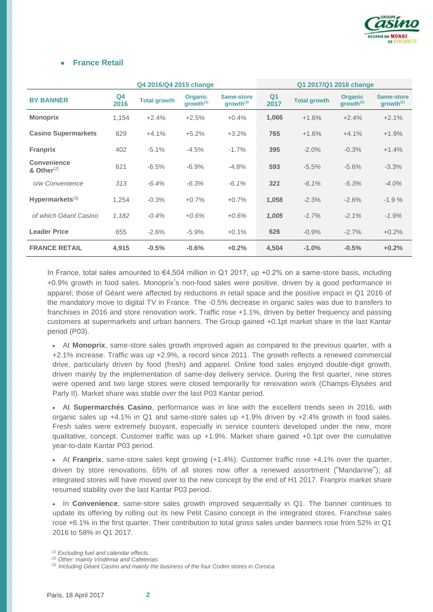

#### **France Retail**

| Q4 2016/Q4 2015 change       |                        |                     |                                         | Q1 2017/Q1 2016 change              |                        |                     |                                         |                                     |
|------------------------------|------------------------|---------------------|-----------------------------------------|-------------------------------------|------------------------|---------------------|-----------------------------------------|-------------------------------------|
| <b>BY BANNER</b>             | Q <sub>4</sub><br>2016 | <b>Total growth</b> | <b>Organic</b><br>growth <sup>(1)</sup> | Same-store<br>growth <sup>(1)</sup> | Q <sub>1</sub><br>2017 | <b>Total growth</b> | <b>Organic</b><br>growth <sup>(1)</sup> | Same-store<br>growth <sup>(1)</sup> |
| <b>Monoprix</b>              | 1,154                  | $+2.4%$             | $+2.5%$                                 | $+0.4%$                             | 1,066                  | $+1.6%$             | $+2.4%$                                 | $+2.1%$                             |
| <b>Casino Supermarkets</b>   | 829                    | $+4.1%$             | $+5.2%$                                 | $+3.2%$                             | 765                    | $+1.6%$             | $+4.1%$                                 | $+1.9%$                             |
| <b>Franprix</b>              | 402                    | $-5.1%$             | $-4.5%$                                 | $-1.7%$                             | 395                    | $-2.0\%$            | $-0.3%$                                 | $+1.4%$                             |
| Convenience<br>& Other $(2)$ | 621                    | $-6.5%$             | $-6.9%$                                 | $-4.8%$                             | 593                    | $-5.5%$             | $-5.6%$                                 | $-3.3%$                             |
| o/w Convenience              | 313                    | $-6.4%$             | $-6.3%$                                 | $-6.1%$                             | 321                    | $-6.1%$             | $-5.3%$                                 | $-4.0%$                             |
| Hypermarkets $(3)$           | 1,254                  | $-0.3%$             | $+0.7%$                                 | $+0.7%$                             | 1,058                  | $-2.3%$             | $-2.6%$                                 | $-1.9%$                             |
| of which Géant Casino        | 1,182                  | $-0.4%$             | $+0.6%$                                 | $+0.6%$                             | 1,005                  | $-1.7%$             | $-2.1%$                                 | $-1.9%$                             |
| <b>Leader Price</b>          | 655                    | $-2.6%$             | $-5.9%$                                 | $+0.1%$                             | 626                    | $-0.9%$             | $-2.7%$                                 | $+0.2%$                             |
| <b>FRANCE RETAIL</b>         | 4,915                  | $-0.5%$             | $-0.6%$                                 | $+0.2%$                             | 4,504                  | $-1.0%$             | $-0.5%$                                 | $+0.2%$                             |

In France, total sales amounted to €4,504 million in Q1 2017, up +0.2% on a same-store basis, including +0.9% growth in food sales. Monoprix's non-food sales were positive, driven by a good performance in apparel; those of Géant were affected by reductions in retail space and the positive impact in Q1 2016 of the mandatory move to digital TV in France. The -0.5% decrease in organic sales was due to transfers to franchises in 2016 and store renovation work. Traffic rose +1.1%, driven by better frequency and passing customers at supermarkets and urban banners. The Group gained +0.1pt market share in the last Kantar period (P03).

 At **Monoprix**, same-store sales growth improved again as compared to the previous quarter, with a +2.1% increase. Traffic was up +2.9%, a record since 2011. The growth reflects a renewed commercial drive, particularly driven by food (fresh) and apparel. Online food sales enjoyed double-digit growth, driven mainly by the implementation of same-day delivery service. During the first quarter, nine stores were opened and two large stores were closed temporarily for renovation work (Champs-Elysées and Parly II). Market share was stable over the last P03 Kantar period.

 At **Supermarchés Casino**, performance was in line with the excellent trends seen in 2016, with organic sales up +4.1% in Q1 and same-store sales up +1.9% driven by +2.4% growth in food sales. Fresh sales were extremely buoyant, especially in service counters developed under the new, more qualitative, concept. Customer traffic was up +1.9%. Market share gained +0.1pt over the cumulative year-to-date Kantar P03 period.

 At **Franprix**, same-store sales kept growing (+1.4%). Customer traffic rose +4.1% over the quarter, driven by store renovations. 65% of all stores now offer a renewed assortment ("Mandarine"); all integrated stores will have moved over to the new concept by the end of H1 2017. Franprix market share resumed stability over the last Kantar P03 period.

 In **Convenience**, same-store sales growth improved sequentially in Q1. The banner continues to update its offering by rolling out its new Petit Casino concept in the integrated stores. Franchise sales rose +6.1% in the first quarter. Their contribution to total gross sales under banners rose from 52% in Q1 2016 to 58% in Q1 2017.

*<sup>(1)</sup> Excluding fuel and calendar effects.* 

*<sup>(2)</sup> Other: mainly Vindémia and Cafeterias.*

*<sup>(3)</sup> Including Géant Casino and mainly the business of the four Codim stores in Corsica.*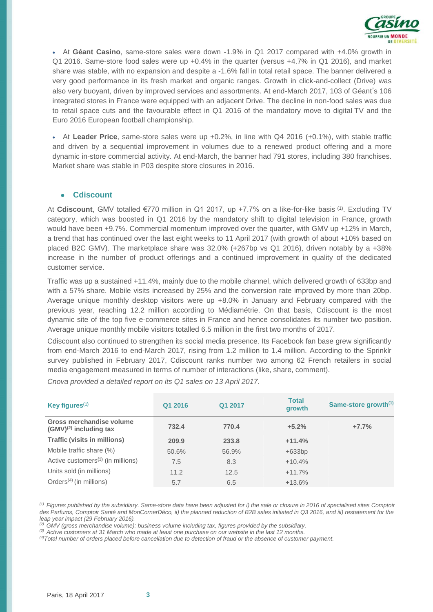

 At **Géant Casino**, same-store sales were down -1.9% in Q1 2017 compared with +4.0% growth in Q1 2016. Same-store food sales were up +0.4% in the quarter (versus +4.7% in Q1 2016), and market share was stable, with no expansion and despite a -1.6% fall in total retail space. The banner delivered a very good performance in its fresh market and organic ranges. Growth in click-and-collect (Drive) was also very buoyant, driven by improved services and assortments. At end-March 2017, 103 of Géant's 106 integrated stores in France were equipped with an adjacent Drive. The decline in non-food sales was due to retail space cuts and the favourable effect in Q1 2016 of the mandatory move to digital TV and the Euro 2016 European football championship.

 At **Leader Price**, same-store sales were up +0.2%, in line with Q4 2016 (+0.1%), with stable traffic and driven by a sequential improvement in volumes due to a renewed product offering and a more dynamic in-store commercial activity. At end-March, the banner had 791 stores, including 380 franchises. Market share was stable in P03 despite store closures in 2016.

#### ● **Cdiscount**

At **Cdiscount**, GMV totalled €770 million in Q1 2017, up +7.7% on a like-for-like basis (1). Excluding TV category, which was boosted in Q1 2016 by the mandatory shift to digital television in France, growth would have been +9.7%. Commercial momentum improved over the quarter, with GMV up +12% in March, a trend that has continued over the last eight weeks to 11 April 2017 (with growth of about +10% based on placed B2C GMV). The marketplace share was 32.0% (+267bp vs Q1 2016), driven notably by a +38% increase in the number of product offerings and a continued improvement in quality of the dedicated customer service.

Traffic was up a sustained +11.4%, mainly due to the mobile channel, which delivered growth of 633bp and with a 57% share. Mobile visits increased by 25% and the conversion rate improved by more than 20bp. Average unique monthly desktop visitors were up +8.0% in January and February compared with the previous year, reaching 12.2 million according to Médiamétrie. On that basis, Cdiscount is the most dynamic site of the top five e-commerce sites in France and hence consolidates its number two position. Average unique monthly mobile visitors totalled 6.5 million in the first two months of 2017.

Cdiscount also continued to strengthen its social media presence. Its Facebook fan base grew significantly from end-March 2016 to end-March 2017, rising from 1.2 million to 1.4 million. According to the Sprinklr survey published in February 2017, Cdiscount ranks number two among 62 French retailers in social media engagement measured in terms of number of interactions (like, share, comment).

*Cnova provided a detailed report on its Q1 sales on 13 April 2017.*

| Key figures $(1)$                                       | Q1 2016 | Q1 2017 | <b>Total</b><br>growth | Same-store growth <sup>(1)</sup> |
|---------------------------------------------------------|---------|---------|------------------------|----------------------------------|
| Gross merchandise volume<br>$(GMV)^{(2)}$ including tax | 732.4   | 770.4   | $+5.2%$                | $+7.7%$                          |
| <b>Traffic (visits in millions)</b>                     | 209.9   | 233.8   | $+11.4%$               |                                  |
| Mobile traffic share (%)                                | 50.6%   | 56.9%   | $+633bp$               |                                  |
| Active customers <sup>(3)</sup> (in millions)           | 7.5     | 8.3     | $+10.4%$               |                                  |
| Units sold (in millions)                                | 11.2    | 12.5    | $+11.7%$               |                                  |
| Orders <sup><math>(4)</math></sup> (in millions)        | 5.7     | 6.5     | $+13.6%$               |                                  |

*(1) Figures published by the subsidiary. Same-store data have been adjusted for i) the sale or closure in 2016 of specialised sites Comptoir*  des Parfums, Comptoir Santé and MonCornerDéco, ii) the planned reduction of B2B sales initiated in Q3 2016, and iii) restatement for the *leap year impact (29 February 2016).*

*(2) GMV (gross merchandise volume): business volume including tax, figures provided by the subsidiary.*

*(3) Active customers at 31 March who made at least one purchase on our website in the last 12 months.*

*(4)Total number of orders placed before cancellation due to detection of fraud or the absence of customer payment.*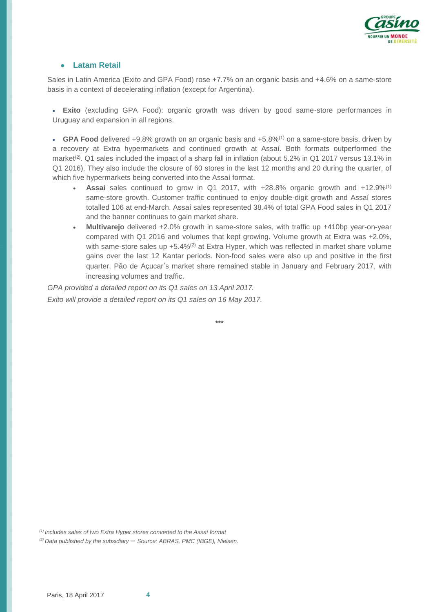

#### **Latam Retail**

Sales in Latin America (Exito and GPA Food) rose +7.7% on an organic basis and +4.6% on a same-store basis in a context of decelerating inflation (except for Argentina).

 **Exito** (excluding GPA Food): organic growth was driven by good same-store performances in Uruguay and expansion in all regions.

 **GPA Food** delivered +9.8% growth on an organic basis and +5.8%(1) on a same-store basis, driven by a recovery at Extra hypermarkets and continued growth at Assaí. Both formats outperformed the market<sup>(2)</sup>. Q1 sales included the impact of a sharp fall in inflation (about 5.2% in Q1 2017 versus 13.1% in Q1 2016). They also include the closure of 60 stores in the last 12 months and 20 during the quarter, of which five hypermarkets being converted into the Assaí format.

- **Assaí** sales continued to grow in Q1 2017, with +28.8% organic growth and +12.9%(1) same-store growth. Customer traffic continued to enjoy double-digit growth and Assaí stores totalled 106 at end-March. Assaí sales represented 38.4% of total GPA Food sales in Q1 2017 and the banner continues to gain market share.
- **Multivarejo** delivered +2.0% growth in same-store sales, with traffic up +410bp year-on-year compared with Q1 2016 and volumes that kept growing. Volume growth at Extra was +2.0%, with same-store sales up  $+5.4\%$ <sup>(2)</sup> at Extra Hyper, which was reflected in market share volume gains over the last 12 Kantar periods. Non-food sales were also up and positive in the first quarter. Pão de Açucar's market share remained stable in January and February 2017, with increasing volumes and traffic.

*GPA provided a detailed report on its Q1 sales on 13 April 2017. Exito will provide a detailed report on its Q1 sales on 16 May 2017.*

**\*\*\***

*(1) Includes sales of two Extra Hyper stores converted to the Assaí format*

*(2) Data published by the subsidiary* – *Source: ABRAS, PMC (IBGE), Nielsen.*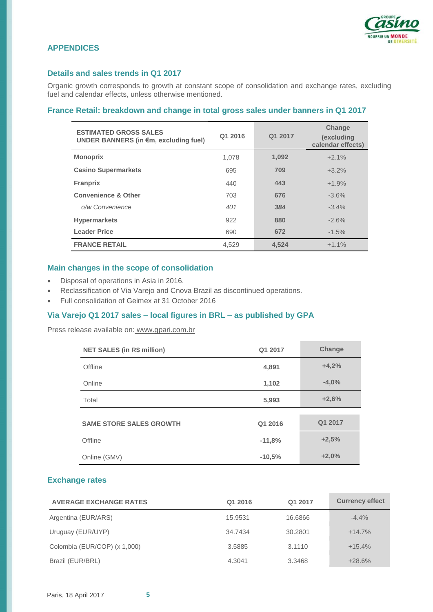

## **APPENDICES**

## **Details and sales trends in Q1 2017**

Organic growth corresponds to growth at constant scope of consolidation and exchange rates, excluding fuel and calendar effects, unless otherwise mentioned.

## **France Retail: breakdown and change in total gross sales under banners in Q1 2017**

| <b>ESTIMATED GROSS SALES</b><br>UNDER BANNERS (in €m, excluding fuel) | Q1 2016 | Q1 2017 | Change<br>(excluding<br>calendar effects) |
|-----------------------------------------------------------------------|---------|---------|-------------------------------------------|
| <b>Monoprix</b>                                                       | 1,078   | 1,092   | $+2.1%$                                   |
| <b>Casino Supermarkets</b>                                            | 695     | 709     | $+3.2%$                                   |
| <b>Franprix</b>                                                       | 440     | 443     | $+1.9%$                                   |
| <b>Convenience &amp; Other</b>                                        | 703     | 676     | $-3.6%$                                   |
| o/w Convenience                                                       | 401     | 384     | $-3.4%$                                   |
| <b>Hypermarkets</b>                                                   | 922     | 880     | $-2.6%$                                   |
| <b>Leader Price</b>                                                   | 690     | 672     | $-1.5%$                                   |
| <b>FRANCE RETAIL</b>                                                  | 4.529   | 4,524   | $+1.1%$                                   |

#### **Main changes in the scope of consolidation**

- Disposal of operations in Asia in 2016.
- Reclassification of Via Varejo and Cnova Brazil as discontinued operations.
- Full consolidation of Geimex at 31 October 2016

#### **Via Varejo Q1 2017 sales – local figures in BRL – as published by GPA**

Press release available on: www.gpari.com.br

| <b>NET SALES (in R\$ million)</b> | Q1 2017  | Change  |
|-----------------------------------|----------|---------|
| Offline                           | 4,891    | $+4,2%$ |
| Online                            | 1,102    | $-4,0%$ |
| Total                             | 5,993    | $+2,6%$ |
|                                   |          |         |
| <b>SAME STORE SALES GROWTH</b>    | Q1 2016  | Q1 2017 |
| Offline                           | $-11,8%$ | $+2,5%$ |
| Online (GMV)                      | $-10,5%$ | $+2,0%$ |

#### **Exchange rates**

| <b>AVERAGE EXCHANGE RATES</b> | Q1 2016 | Q1 2017 | <b>Currency effect</b> |
|-------------------------------|---------|---------|------------------------|
| Argentina (EUR/ARS)           | 15.9531 | 16.6866 | $-4.4%$                |
| Uruguay (EUR/UYP)             | 34.7434 | 30.2801 | $+14.7%$               |
| Colombia (EUR/COP) (x 1,000)  | 3.5885  | 3.1110  | $+15.4%$               |
| Brazil (EUR/BRL)              | 4.3041  | 3.3468  | $+28.6%$               |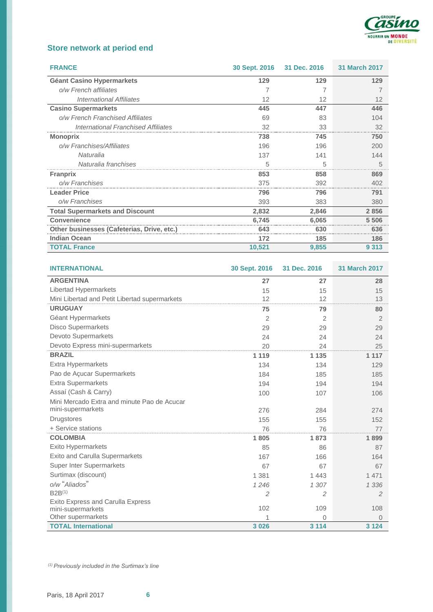

## **Store network at period end**

| <b>FRANCE</b>                              | 30 Sept. 2016 31 Dec. 2016 |       | <b>31 March 2017</b> |
|--------------------------------------------|----------------------------|-------|----------------------|
| <b>Géant Casino Hypermarkets</b>           | 129                        | 129   | 129                  |
| o/w French affiliates                      |                            |       |                      |
| <b>International Affiliates</b>            | 12                         | 12    | 12                   |
| <b>Casino Supermarkets</b>                 | 445                        | 447   | 446                  |
| o/w French Franchised Affiliates           | 69                         | 83    | 104                  |
| <b>International Franchised Affiliates</b> | 32                         | 33    | 32                   |
| <b>Monoprix</b>                            | 738                        | 745   | 750                  |
| o/w Franchises/Affiliates                  | 196                        | 196   | 200                  |
| Naturalia                                  | 137                        | 141   | 144                  |
| Naturalia franchises                       | 5                          | 5     |                      |
| <b>Franprix</b>                            | 853                        | 858   | 869                  |
| o/w Franchises                             | 375                        | 392   | 402                  |
| <b>Leader Price</b>                        | 796                        | 796   | 791                  |
| o/w Franchises                             | 393                        | 383   | 380                  |
| <b>Total Supermarkets and Discount</b>     | 2,832                      | 2,846 | 2856                 |
| <b>Convenience</b>                         | 6.745                      | 6,065 | 5 5 0 6              |
| Other businesses (Cafeterias, Drive, etc.) | 643                        | 630   | 636                  |
| <b>Indian Ocean</b>                        | 172                        | 185   | 186                  |
| <b>TOTAL France</b>                        | 10,521                     | 9,855 | 9 3 1 3              |

| <b>INTERNATIONAL</b>                             | 30 Sept. 2016 | 31 Dec. 2016 | <b>31 March 2017</b> |
|--------------------------------------------------|---------------|--------------|----------------------|
| <b>ARGENTINA</b>                                 | 27            | 27           | 28                   |
| Libertad Hypermarkets                            | 15            | 15           | 15                   |
| Mini Libertad and Petit Libertad supermarkets    | 12            | 12           | 13                   |
| <b>URUGUAY</b>                                   | 75            | 79           | 80                   |
| Géant Hypermarkets                               | 2             | 2            | 2                    |
| <b>Disco Supermarkets</b>                        | 29            | 29           | 29                   |
| Devoto Supermarkets                              | 24            | 24           | 24                   |
| Devoto Express mini-supermarkets                 | 20            | 24           | 25                   |
| <b>BRAZIL</b>                                    | 1 1 1 9       | 1 1 3 5      | 1 1 1 7              |
| Extra Hypermarkets                               | 134           | 134          | 129                  |
| Pao de Açucar Supermarkets                       | 184           | 185          | 185                  |
| <b>Extra Supermarkets</b>                        | 194           | 194          | 194                  |
| Assaí (Cash & Carry)                             | 100           | 107          | 106                  |
| Mini Mercado Extra and minute Pao de Acucar      |               |              |                      |
| mini-supermarkets                                | 276           | 284          | 274                  |
| <b>Drugstores</b>                                | 155           | 155          | 152                  |
| + Service stations                               | 76            | 76           | 77                   |
| <b>COLOMBIA</b>                                  | 1805          | 1873         | 1899                 |
| Exito Hypermarkets                               | 85            | 86           | 87                   |
| <b>Exito and Carulla Supermarkets</b>            | 167           | 166          | 164                  |
| <b>Super Inter Supermarkets</b>                  | 67            | 67           | 67                   |
| Surtimax (discount)                              | 1 3 8 1       | 1443         | 1 4 7 1              |
| o/w "Aliados"                                    | 1246          | 1 307        | 1 3 3 6              |
| $B2B^{(1)}$                                      | 2             | 2            | 2                    |
| <b>Exito Express and Carulla Express</b>         |               |              |                      |
| mini-supermarkets                                | 102           | 109          | 108                  |
| Other supermarkets<br><b>TOTAL International</b> | 3 0 26        | 0<br>3 1 1 4 | $\Omega$<br>3 1 2 4  |
|                                                  |               |              |                      |

*(1) Previously included in the Surtimax's line*